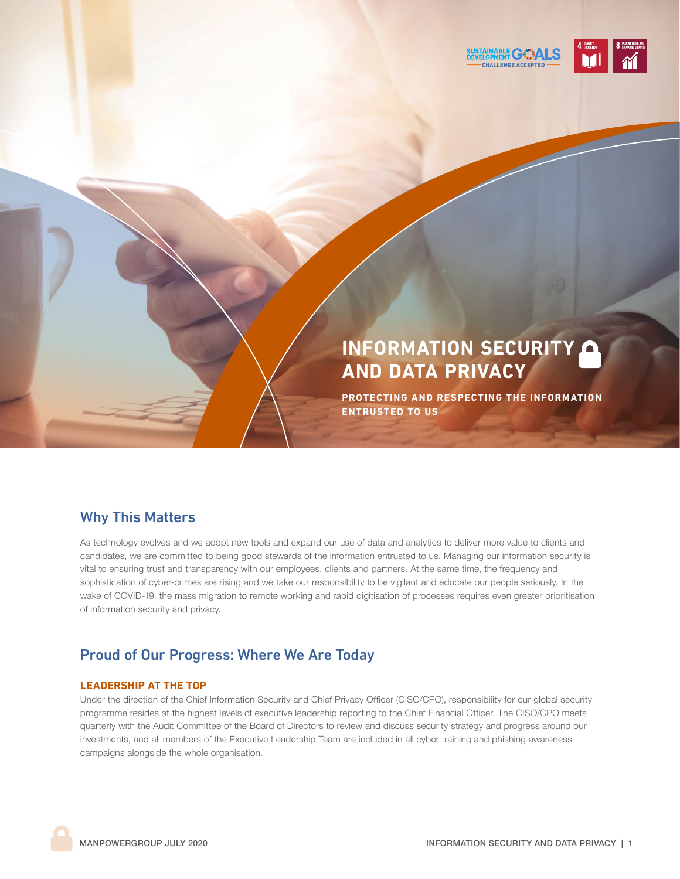

# **INFORMATION SECURITY AND DATA PRIVACY**

**PROTECTING AND RESPECTING THE INFORMATION ENTRUSTED TO US**

### Why This Matters

As technology evolves and we adopt new tools and expand our use of data and analytics to deliver more value to clients and candidates, we are committed to being good stewards of the information entrusted to us. Managing our information security is vital to ensuring trust and transparency with our employees, clients and partners. At the same time, the frequency and sophistication of cyber-crimes are rising and we take our responsibility to be vigilant and educate our people seriously. In the wake of COVID-19, the mass migration to remote working and rapid digitisation of processes requires even greater prioritisation of information security and privacy.

### Proud of Our Progress: Where We Are Today

### **LEADERSHIP AT THE TOP**

Under the direction of the Chief Information Security and Chief Privacy Officer (CISO/CPO), responsibility for our global security programme resides at the highest levels of executive leadership reporting to the Chief Financial Officer. The CISO/CPO meets quarterly with the Audit Committee of the Board of Directors to review and discuss security strategy and progress around our investments, and all members of the Executive Leadership Team are included in all cyber training and phishing awareness campaigns alongside the whole organisation.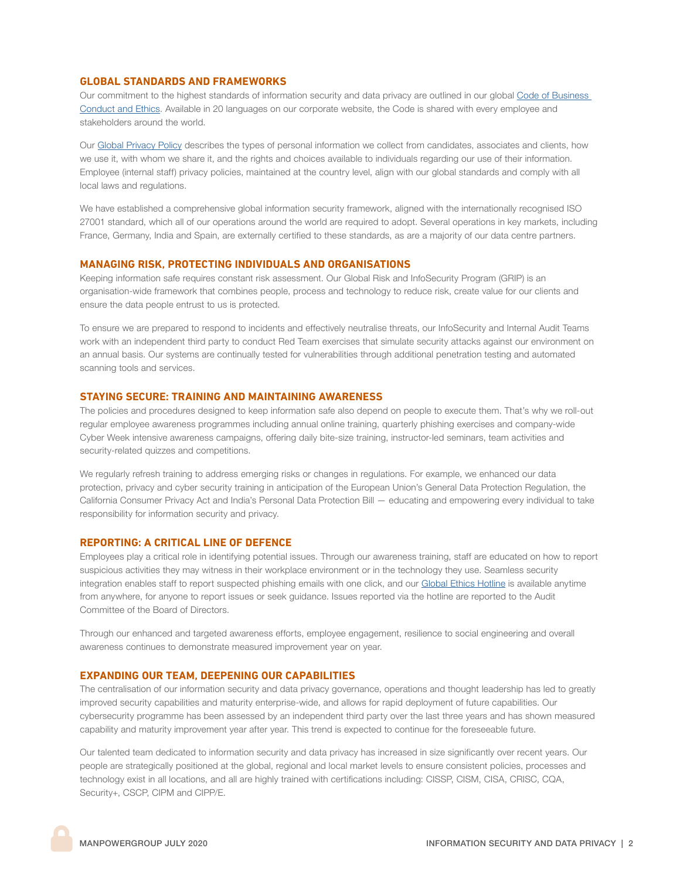#### **GLOBAL STANDARDS AND FRAMEWORKS**

Our commitment to the highest standards of information security and data privacy are outlined in our global [Code of Business](https://www.manpowergroup.com/ethics/code-of-business-conduct-and-ethics)  [Conduct and Ethics](https://www.manpowergroup.com/ethics/code-of-business-conduct-and-ethics). Available in 20 languages on our corporate website, the Code is shared with every employee and stakeholders around the world.

Our [Global Privacy Policy](https://manpowergroup.com/privacy-policy) describes the types of personal information we collect from candidates, associates and clients, how we use it, with whom we share it, and the rights and choices available to individuals regarding our use of their information. Employee (internal staff) privacy policies, maintained at the country level, align with our global standards and comply with all local laws and regulations.

We have established a comprehensive global information security framework, aligned with the internationally recognised ISO 27001 standard, which all of our operations around the world are required to adopt. Several operations in key markets, including France, Germany, India and Spain, are externally certified to these standards, as are a majority of our data centre partners.

#### **MANAGING RISK, PROTECTING INDIVIDUALS AND ORGANISATIONS**

Keeping information safe requires constant risk assessment. Our Global Risk and InfoSecurity Program (GRIP) is an organisation-wide framework that combines people, process and technology to reduce risk, create value for our clients and ensure the data people entrust to us is protected.

To ensure we are prepared to respond to incidents and effectively neutralise threats, our InfoSecurity and Internal Audit Teams work with an independent third party to conduct Red Team exercises that simulate security attacks against our environment on an annual basis. Our systems are continually tested for vulnerabilities through additional penetration testing and automated scanning tools and services.

#### **STAYING SECURE: TRAINING AND MAINTAINING AWARENESS**

The policies and procedures designed to keep information safe also depend on people to execute them. That's why we roll-out regular employee awareness programmes including annual online training, quarterly phishing exercises and company-wide Cyber Week intensive awareness campaigns, offering daily bite-size training, instructor-led seminars, team activities and security-related quizzes and competitions.

We regularly refresh training to address emerging risks or changes in regulations. For example, we enhanced our data protection, privacy and cyber security training in anticipation of the European Union's General Data Protection Regulation, the California Consumer Privacy Act and India's Personal Data Protection Bill — educating and empowering every individual to take responsibility for information security and privacy.

#### **REPORTING: A CRITICAL LINE OF DEFENCE**

Employees play a critical role in identifying potential issues. Through our awareness training, staff are educated on how to report suspicious activities they may witness in their workplace environment or in the technology they use. Seamless security integration enables staff to report suspected phishing emails with one click, and our [Global Ethics Hotline](https://manpowergroup.com/ethics/business-ethics-hotline) is available anytime from anywhere, for anyone to report issues or seek guidance. Issues reported via the hotline are reported to the Audit Committee of the Board of Directors.

Through our enhanced and targeted awareness efforts, employee engagement, resilience to social engineering and overall awareness continues to demonstrate measured improvement year on year.

#### **EXPANDING OUR TEAM, DEEPENING OUR CAPABILITIES**

The centralisation of our information security and data privacy governance, operations and thought leadership has led to greatly improved security capabilities and maturity enterprise-wide, and allows for rapid deployment of future capabilities. Our cybersecurity programme has been assessed by an independent third party over the last three years and has shown measured capability and maturity improvement year after year. This trend is expected to continue for the foreseeable future.

Our talented team dedicated to information security and data privacy has increased in size significantly over recent years. Our people are strategically positioned at the global, regional and local market levels to ensure consistent policies, processes and technology exist in all locations, and all are highly trained with certifications including: CISSP, CISM, CISA, CRISC, CQA, Security+, CSCP, CIPM and CIPP/E.